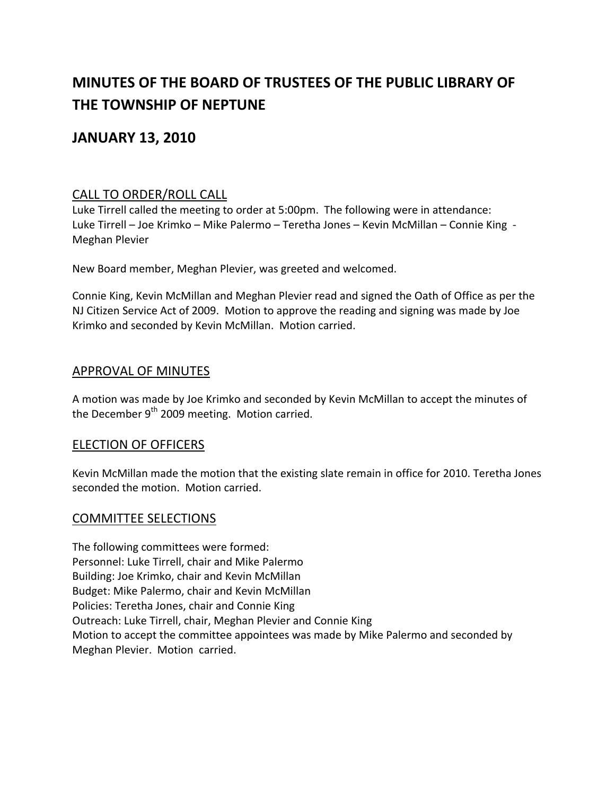# **MINUTES OF THE BOARD OF TRUSTEES OF THE PUBLIC LIBRARY OF THE TOWNSHIP OF NEPTUNE**

## **JANUARY 13, 2010**

## CALL TO ORDER/ROLL CALL

Luke Tirrell called the meeting to order at 5:00pm. The following were in attendance: Luke Tirrell – Joe Krimko – Mike Palermo – Teretha Jones – Kevin McMillan – Connie King ‐ Meghan Plevier

New Board member, Meghan Plevier, was greeted and welcomed.

Connie King, Kevin McMillan and Meghan Plevier read and signed the Oath of Office as per the NJ Citizen Service Act of 2009. Motion to approve the reading and signing was made by Joe Krimko and seconded by Kevin McMillan. Motion carried.

#### APPROVAL OF MINUTES

A motion was made by Joe Krimko and seconded by Kevin McMillan to accept the minutes of the December  $9<sup>th</sup>$  2009 meeting. Motion carried.

## ELECTION OF OFFICERS

Kevin McMillan made the motion that the existing slate remain in office for 2010. Teretha Jones seconded the motion. Motion carried.

#### COMMITTEE SELECTIONS

The following committees were formed: Personnel: Luke Tirrell, chair and Mike Palermo Building: Joe Krimko, chair and Kevin McMillan Budget: Mike Palermo, chair and Kevin McMillan Policies: Teretha Jones, chair and Connie King Outreach: Luke Tirrell, chair, Meghan Plevier and Connie King Motion to accept the committee appointees was made by Mike Palermo and seconded by Meghan Plevier. Motion carried.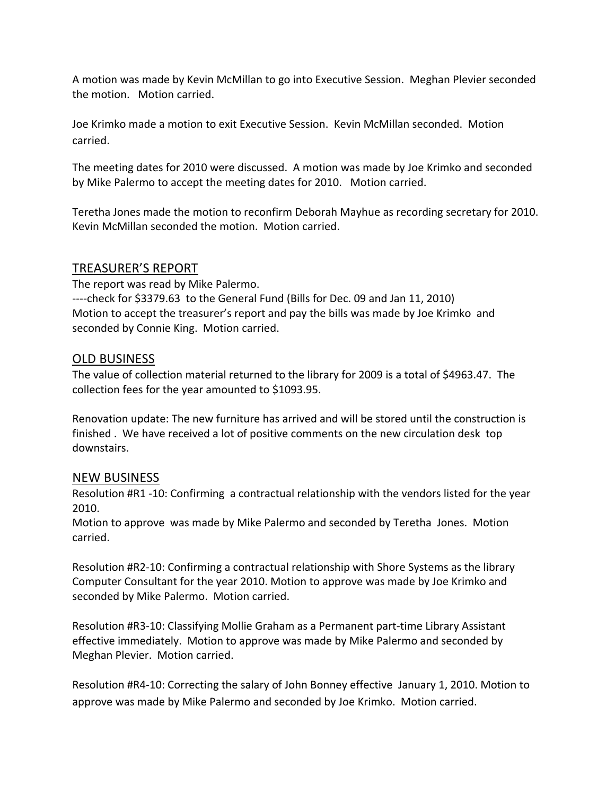A motion was made by Kevin McMillan to go into Executive Session. Meghan Plevier seconded the motion. Motion carried.

Joe Krimko made a motion to exit Executive Session. Kevin McMillan seconded. Motion carried.

The meeting dates for 2010 were discussed. A motion was made by Joe Krimko and seconded by Mike Palermo to accept the meeting dates for 2010. Motion carried.

Teretha Jones made the motion to reconfirm Deborah Mayhue as recording secretary for 2010. Kevin McMillan seconded the motion. Motion carried.

## TREASURER'S REPORT

The report was read by Mike Palermo. ‐‐‐‐check for \$3379.63 to the General Fund (Bills for Dec. 09 and Jan 11, 2010) Motion to accept the treasurer's report and pay the bills was made by Joe Krimko and seconded by Connie King. Motion carried.

## OLD BUSINESS

The value of collection material returned to the library for 2009 is a total of \$4963.47. The collection fees for the year amounted to \$1093.95.

Renovation update: The new furniture has arrived and will be stored until the construction is finished . We have received a lot of positive comments on the new circulation desk top downstairs.

## NEW BUSINESS

Resolution #R1 ‐10: Confirming a contractual relationship with the vendors listed for the year 2010.

Motion to approve was made by Mike Palermo and seconded by Teretha Jones. Motion carried.

Resolution #R2‐10: Confirming a contractual relationship with Shore Systems as the library Computer Consultant for the year 2010. Motion to approve was made by Joe Krimko and seconded by Mike Palermo. Motion carried.

Resolution #R3‐10: Classifying Mollie Graham as a Permanent part‐time Library Assistant effective immediately. Motion to approve was made by Mike Palermo and seconded by Meghan Plevier. Motion carried.

Resolution #R4‐10: Correcting the salary of John Bonney effective January 1, 2010. Motion to approve was made by Mike Palermo and seconded by Joe Krimko. Motion carried.